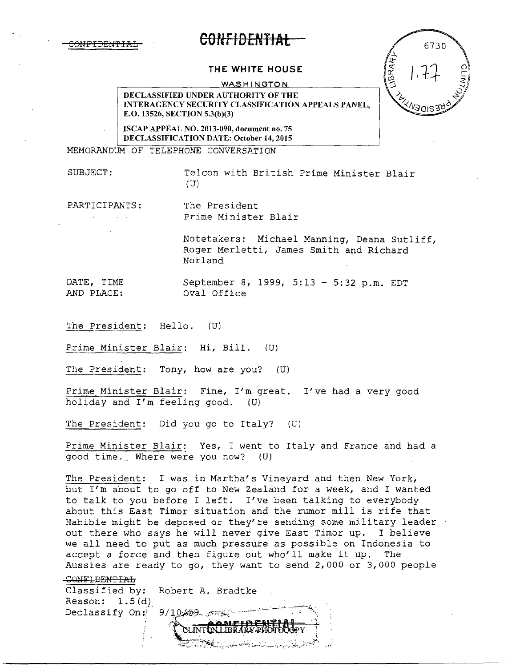

# **COfef IDENTIAt**

#### **THE WHITE HOUSE**

WASHINGTON

DECLASSIFIED UNDER AUTHORITY OF THE INTERAGENCY SECURITY CLASSIFICATION APPEALS PANEL, E.O. 13526, SECTION 5.3(b)(3)

ISCAP APPEAL NO. 2013-090, document no. 75 DECLASSIFICATION DATE: October 14, 2015

MEMORANDUM OF TELEPHONE CONVERSATION

SUBJECT: Telcon with British Prime Minister Blair (U)

PARTICIPANTS: The President in a

Prime Minister Blair

Notetakers: Michael Manning, Deana Sutliff, Roger Merletti, James Smith and Richard Norland

DATE, TIME September 8, 1999, 5:13 - 5:32 p.m. EDT<br>AND PLACE: Oval Office AND PLACE:

The President: Hello. (U)

Prime Minister Blair: Hi, Bill. (U)

The President: Tony, how are you? (U)

Prime Minister Blair: Fine, I'm great. I've had a very good holiday and I'm feeling good. (U)

The President: Did you go to Italy? (U)

Prime Minister Blair: Yes, I went to Italy and France and had a good time. Where were you now? (U)

The President: I was in Martha's Vineyard and then New York, but I'm about to go off to New Zealand for a week, and I wanted to talk to you before I left. I've been talking to everybody about this East Timor situation and the rumor mill is rife that Habibie might be deposed or they're sending some military leader out there who says he will never give East Timor up. I believe we all need to put as much pressure as possible on Indonesia to accept a force and then figure out who'll make it up. The Aussies are ready to go, they want to send 2,000 or 3,000 people

#### CONFIDENTIAL

Classified by: Robert A. Bradtke Reason:  $1.5(d)$  $9/10/0.9$ Declassify On:

6730 LIBRARI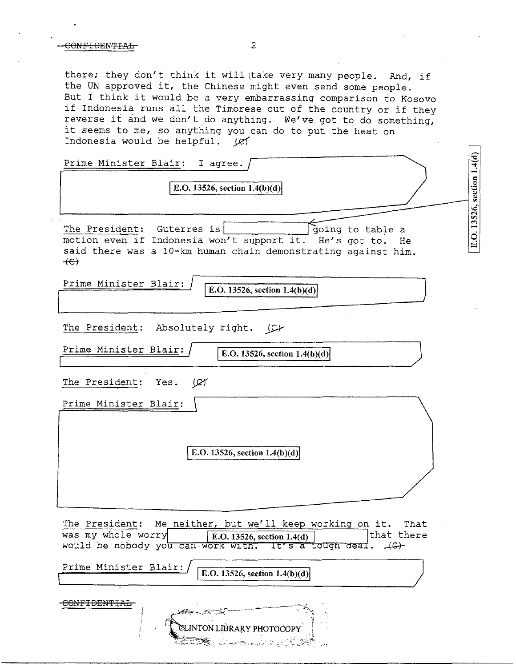there; they don't think it will take very many people. And, if the UN approved it, the Chinese might even send some people. But I think it would be a very embarrassing comparison to Kosovo if Indonesia runs all the Timorese out of the country or if they reverse it and we don't do anything. We've got to do something, it seems to me, so anything you can do to put the heat on Indonesia would be helpful.  $\cancel{\varnothing}$ 

| Prime Minister Blair: I agree.<br>E.O. 13526, section $1.4(b)(d)$                                                                                                                                      |                            |
|--------------------------------------------------------------------------------------------------------------------------------------------------------------------------------------------------------|----------------------------|
| The President: Guterres is<br>going to table a<br>motion even if Indonesia won't support it. He's got to.<br>He<br>said there was a 10-km human chain demonstrating against him.<br>$+e$               | E.O. 13526, section 1.4(d) |
| Prime Minister Blair:<br>E.O. 13526, section $1.4(b)(d)$                                                                                                                                               |                            |
| The President: Absolutely right. (C)                                                                                                                                                                   |                            |
| Prime Minister Blair:<br>E.O. 13526, section $1.4(b)(d)$                                                                                                                                               |                            |
| The President:<br>Yes.<br>مهجا                                                                                                                                                                         |                            |
| Prime Minister Blair:                                                                                                                                                                                  |                            |
| E.O. 13526, section $1.4(b)(d)$                                                                                                                                                                        |                            |
|                                                                                                                                                                                                        |                            |
| The President:<br>Me neither, but we'll keep working on it.<br>That<br>was my whole worry<br>that there<br>  E.O. 13526, section $1.4(d)$<br>would be nobody you can work with. It's a tough deal. (G) |                            |
| Prime Minister Blair:<br>E.O. 13526, section $1.4(b)(d)$                                                                                                                                               |                            |
| <del>CONFIDENTIAL</del><br>LINTON LIBRARY PHOTOCOPY                                                                                                                                                    |                            |

ESSE LARANDER COM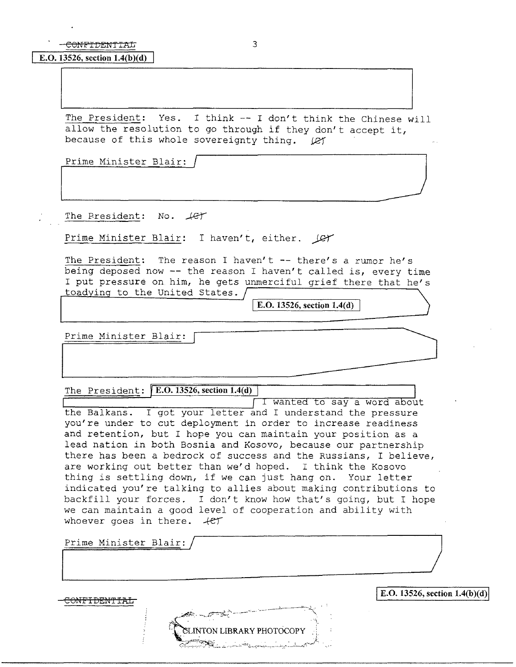#### **E.O. 13526, section 1.4(b)(d)**

The President: Yes. I think -- I don't think the Chinese wili allow the resolution to go through if they don't accept it, because of this whole sovereignty thing.  $\ell$ The President: Yes. I think -- I don't think the Chinese will<br>allow the resolution to go through if they don't accept it,<br>because of this whole sovereignty thing.  $\ell$  Prime Minister Blair:  $\ell$ <u>III.aasta</u>

Prime Minister Blair:

The President: No.  $\sqrt{c\tau}$ 

Prime Minister Blair: I haven't, either. *Q*-

The President: The reason I haven't -- there's a rumor he's being deposed now -- the reason I haven't called is, every time I put pressure on him, he gets unmerciful grief there that he's toadying to the United States.

I E.O. **13526, section l.4(d)** 

Prime Minister Blair:

The President: **E.O. 13526, section 1.4(d)** 

I Wanted to say a word about the Balkans. I got your letter and I understand the pressure you're under to cut deployment in order to increase readiness and retention, but I hope you can maintain your position as a lead nation in both Bosnia and Kosovo, because our partnership there has been a bedrock of success and the Russians, I believe, are working out better than we'd hoped. I think the Kosovo thing *is* settling down, if we can just hang on. Your letter indicated you're talking to allies about making contributions to backfill your forces. I don't know how that's going, but I hope we can maintain a good level of cooperation and ability with whoever goes in there.  $+e\tau$ 

Prime Minister Blair:

**IE.O. 13526, section 1.4(b)(d)**<br> **IE.O. 13526, section 1.4(b)(d)** LINTON LIBRARY PHOTOCOPY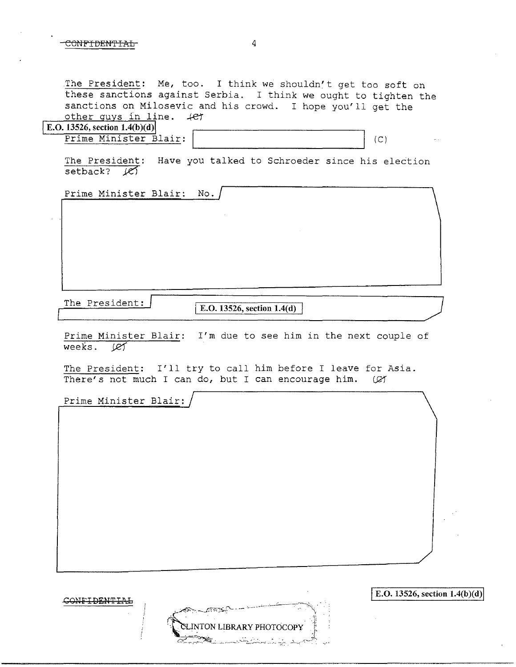.The President: Me, too. I think we shouldn't get too soft on these sanctions against Serbia. I think we ought to tighten the sanctions on Milosevic and his crowd. I hope you'll get the other guys in line.  $+e^+$ 

|  | E.O. 13526, section $1.4(b)(d)$ |  |
|--|---------------------------------|--|
|  |                                 |  |

Prime Minister Blair:

 $(C)$ 

The President: Have you talked to Schroeder since his election setback?  $K$ 

Prime Minister Blair: No.

The President: **E.O.** 13526, section 1.4(d)

Prime Minister Blair: I'm due to see him in the next couple of weeks.  $\mathcal{Q}$ 

The President: I'll try to call him before I leave for Asia.<br>There's not much I can do, but I can encourage him. ( $\varnothing$ ) There's not much I can do, but I can encourage him.

Prime Minister Blair:

|                                                        | E.O. 13526, section $1.4(b)(d)$ |
|--------------------------------------------------------|---------------------------------|
| <b>CAP CAPE COMPANY COMPANY</b>                        |                                 |
| CLINTON LIBRARY PHOTOCOPY                              |                                 |
| فكسنى والمستقيل والمستنقذ والمتحدث والمسترين والمتكافح |                                 |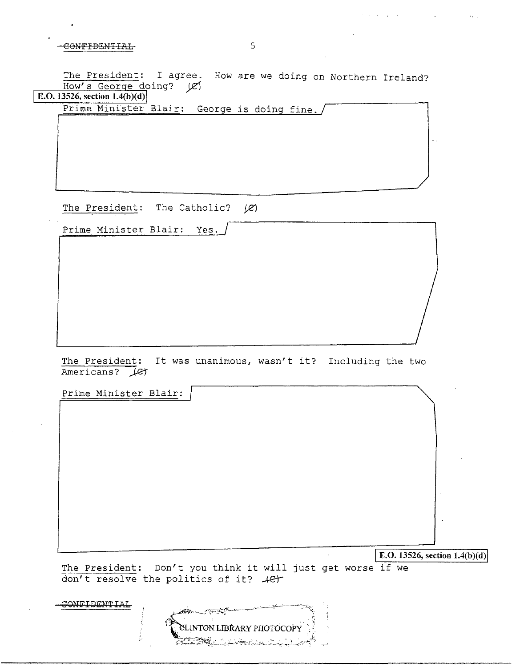The President: I agree. How are we doing on Northern Ireland? How's George doing? (e)

**E.O. 13526, section 1.4(b)(d)** 

Prime Minister Blair: George is doing fine./

The President: The Catholic?  $|C|$ 

Prime Minister Blair: Yes.

The President: It was unanimous, wasn't it? Including the two Americans? Let

Prime Minister Blair:

E.O.  $13526$ , section  $1.4(b)(d)$ 

The President: Don't you think it will just get worse if we don't resolve the politics of it?  $+e^+$ 

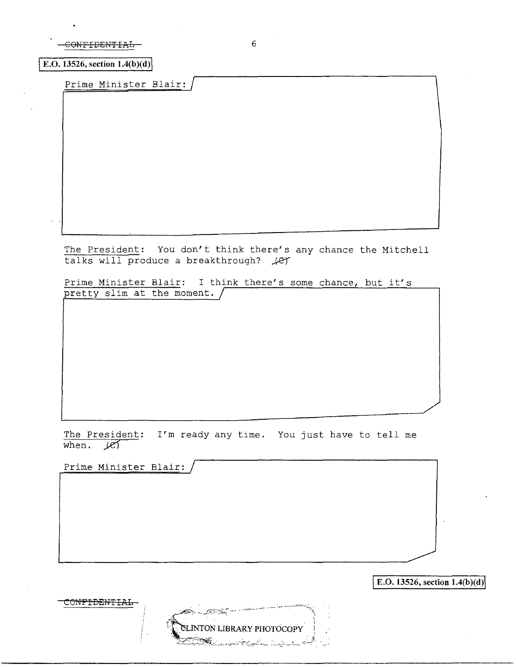| COMEXDEMTIAL<br>- AANI IDMUITIM - |  |
|-----------------------------------|--|
|                                   |  |

**E.O.** 13526, section  $1.4(b)(d)$ 

Prime Minister Blair: /

The President: You don't think there's any chance the Mitchell  $talks$  will produce a breakthrough?  $\mathcal{L}$ 

Prime Minister Blair: I think there's some chance, but it's pretty slim at the moment.

The President: I'm ready any time. You just have to tell me when.  $107$ 

LINTON LIBRARY PHOTOCOPY

Prime Minister Blair:

CONFIDENTIAL

E.O. 13526, section  $1.4(b)(d)$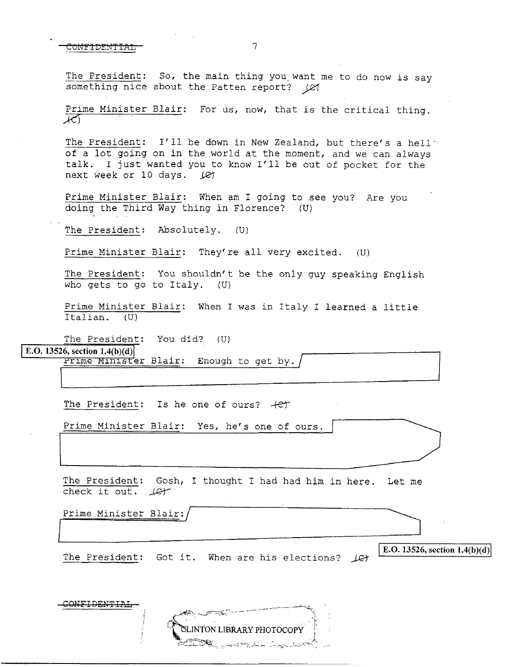The President: So, the main thing you, want me to do now *is* say something nice about the Patten report? ( $\varnothing$ )

Prime Minister Blair: For us, now, that *is* the critical thing.  $K$ 

The President: I'll be down in New Zealand, but there's a hell" of a lot going on in the world at the moment, and we can always talk. I just wanted you to know I'll be out of pocket for the next week or 10 days. *Jet* 

Prime Minister Blair: When am I going to see you? Are you doing the Third Way thing in Florence? (U)

The President: Absolutely. (U)

Prime Minister Blair: They're all very excited. (U)

The President: You shouldn't be the only guy speaking English who gets to go to Italy. (U)

Prime Minister Blair: When I was in Italy I learned a little Italian. (U)

The President: You did? (U)

E.O. 13526, section  $1.4(b)(d)$ 

Prime Minister Blair: Enough to get by.

The President: Is he one of ours?  $+e^+$ 

Prime Minister Blair: Yes, he's one of ours.

The President: Gosh, I thought I had had him in here. Let me check it out. *.J&r* 

Prime Minister Blair:/ Prime Minister Blair://www.archive.org/water.com/water.com/water.com/water.com/water.com/water.com/water.com/water.com/water.com/water.com/water.com/water.com/water.com/water.com/water.com/water.com/water.com/water.com/wat

The President: Got it. When are his elections?  $\angle$ G-f- $\ket{\text{E.O. 13526, section 1.4(b)(d)}}$ 



7